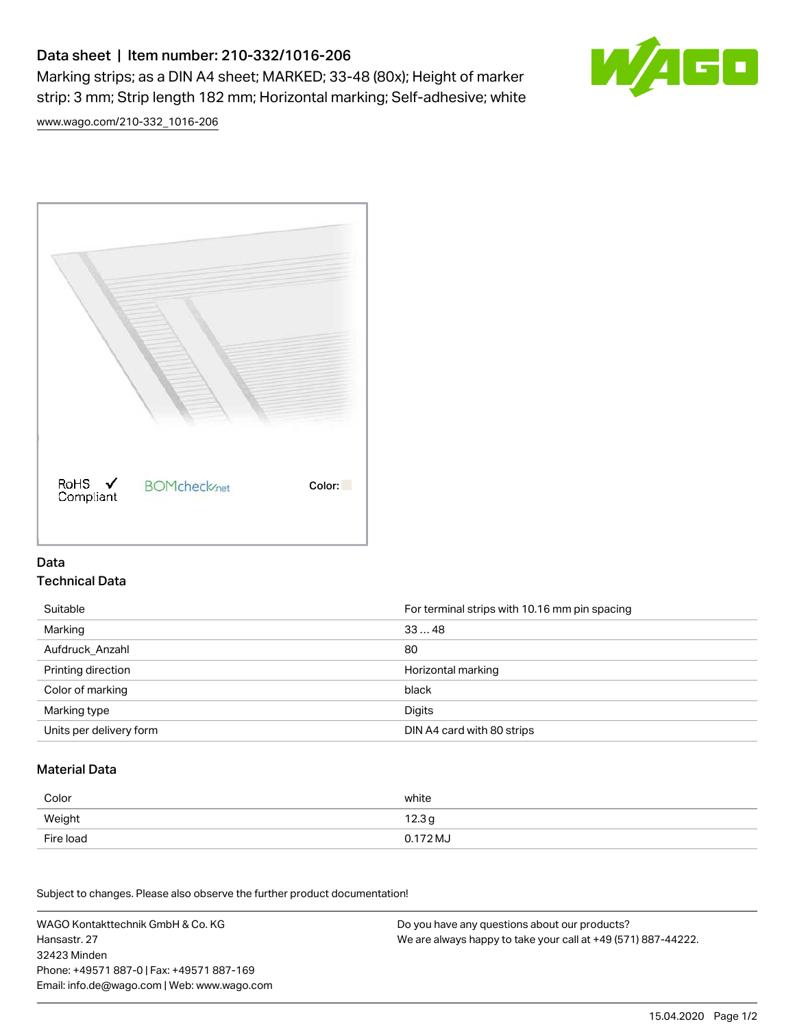# Data sheet | Item number: 210-332/1016-206

Marking strips; as a DIN A4 sheet; MARKED; 33-48 (80x); Height of marker strip: 3 mm; Strip length 182 mm; Horizontal marking; Self-adhesive; white



[www.wago.com/210-332\\_1016-206](http://www.wago.com/210-332_1016-206)



### Data Technical Data

| Suitable                | For terminal strips with 10.16 mm pin spacing |
|-------------------------|-----------------------------------------------|
| Marking                 | 3348                                          |
| Aufdruck Anzahl         | 80                                            |
| Printing direction      | Horizontal marking                            |
| Color of marking        | black                                         |
| Marking type            | Digits                                        |
| Units per delivery form | DIN A4 card with 80 strips                    |

#### Material Data

| Color     | white             |
|-----------|-------------------|
| Weight    | 12.3 <sub>g</sub> |
| Fire load | 0.172 MJ          |

Subject to changes. Please also observe the further product documentation!

WAGO Kontakttechnik GmbH & Co. KG Hansastr. 27 32423 Minden Phone: +49571 887-0 | Fax: +49571 887-169 Email: info.de@wago.com | Web: www.wago.com Do you have any questions about our products? We are always happy to take your call at +49 (571) 887-44222.